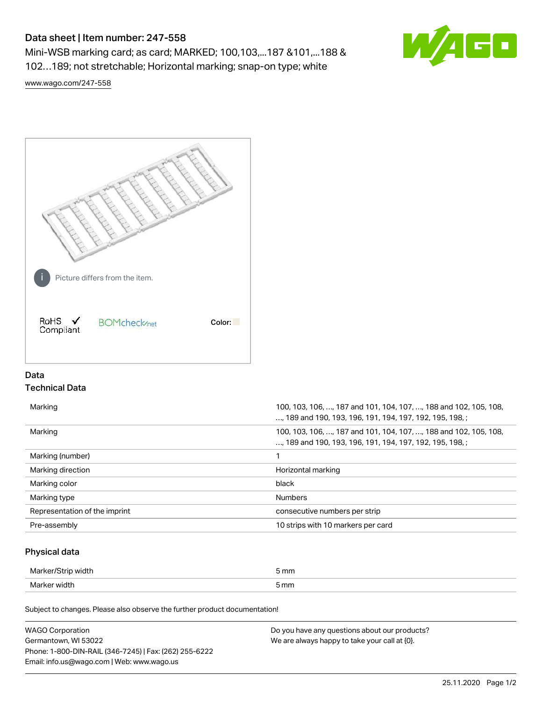# Data sheet | Item number: 247-558

Mini-WSB marking card; as card; MARKED; 100,103,...187 &101,...188 & 102…189; not stretchable; Horizontal marking; snap-on type; white



[www.wago.com/247-558](http://www.wago.com/247-558)



## Data Technical Data

| Marking                       | 100, 103, 106, , 187 and 101, 104, 107, , 188 and 102, 105, 108,<br>, 189 and 190, 193, 196, 191, 194, 197, 192, 195, 198, ; |
|-------------------------------|------------------------------------------------------------------------------------------------------------------------------|
| Marking                       | 100, 103, 106, , 187 and 101, 104, 107, , 188 and 102, 105, 108,<br>, 189 and 190, 193, 196, 191, 194, 197, 192, 195, 198, ; |
| Marking (number)              |                                                                                                                              |
| Marking direction             | Horizontal marking                                                                                                           |
| Marking color                 | black                                                                                                                        |
| Marking type                  | <b>Numbers</b>                                                                                                               |
| Representation of the imprint | consecutive numbers per strip                                                                                                |
| Pre-assembly                  | 10 strips with 10 markers per card                                                                                           |

## Physical data

| Marker/St<br>, width | 5 mm |
|----------------------|------|
| Marker width         | 5 mm |

Subject to changes. Please also observe the further product documentation!

| <b>WAGO Corporation</b>                                | Do you have any questions about our products? |
|--------------------------------------------------------|-----------------------------------------------|
| Germantown, WI 53022                                   | We are always happy to take your call at {0}. |
| Phone: 1-800-DIN-RAIL (346-7245)   Fax: (262) 255-6222 |                                               |
| Email: info.us@wago.com   Web: www.wago.us             |                                               |